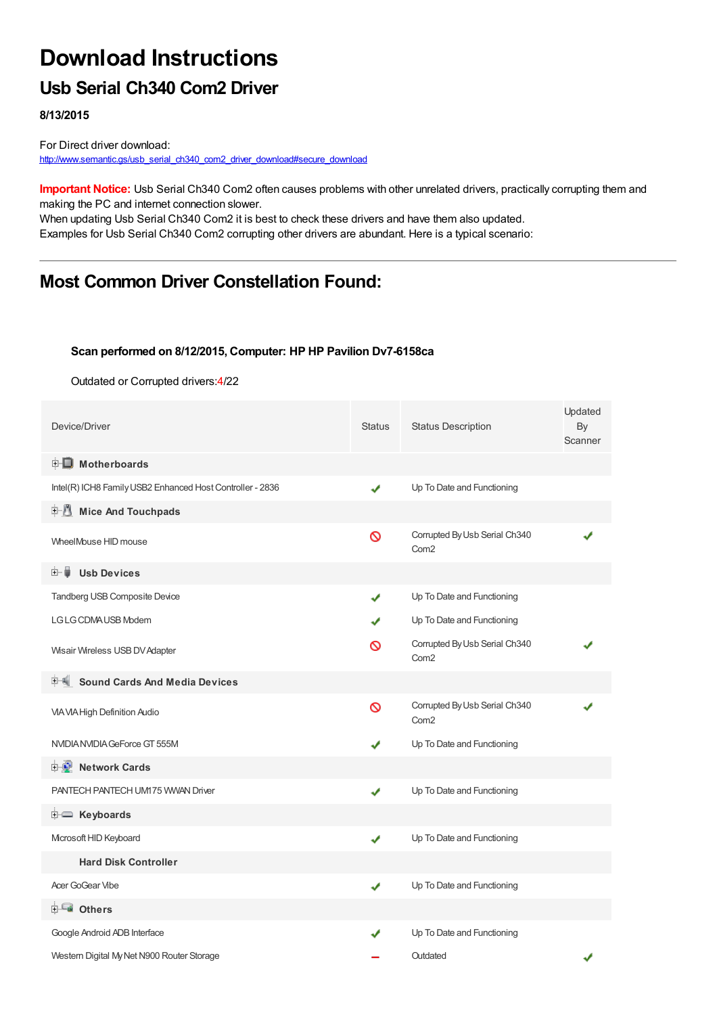# **Download Instructions**

## **Usb Serial Ch340 Com2 Driver**

**8/13/2015**

For Direct driver download: [http://www.semantic.gs/usb\\_serial\\_ch340\\_com2\\_driver\\_download#secure\\_download](http://www.semantic.gs/usb_serial_ch340_com2_driver_download#secure_download)

**Important Notice:** Usb Serial Ch340 Com2 often causes problems with other unrelated drivers, practically corrupting them and making the PC and internet connection slower.

When updating Usb Serial Ch340 Com2 it is best to check these drivers and have them also updated. Examples for Usb Serial Ch340 Com2 corrupting other drivers are abundant. Here is a typical scenario:

## **Most Common Driver Constellation Found:**

#### **Scan performed on 8/12/2015, Computer: HP HP Pavilion Dv7-6158ca**

Outdated or Corrupted drivers:4/22

| Device/Driver                                             | <b>Status</b> | <b>Status Description</b>                         | Updated<br>By<br>Scanner |
|-----------------------------------------------------------|---------------|---------------------------------------------------|--------------------------|
| <b>E</b> Motherboards                                     |               |                                                   |                          |
| Intel(R) ICH8 Family USB2 Enhanced Host Controller - 2836 | ✔             | Up To Date and Functioning                        |                          |
| <b>Mice And Touchpads</b><br>⊞~∦¶                         |               |                                                   |                          |
| WheelMouse HID mouse                                      | Ø             | Corrupted By Usb Serial Ch340<br>Com <sub>2</sub> |                          |
| <b>Usb Devices</b><br>⊞… ■                                |               |                                                   |                          |
| Tandberg USB Composite Device                             | ✔             | Up To Date and Functioning                        |                          |
| LG LG CDMA USB Modem                                      |               | Up To Date and Functioning                        |                          |
| Wisair Wireless USB DV Adapter                            | ര             | Corrupted By Usb Serial Ch340<br>Com <sub>2</sub> |                          |
| <b>Sound Cards And Media Devices</b>                      |               |                                                   |                          |
| VIA VIA High Definition Audio                             | Ø             | Corrupted By Usb Serial Ch340<br>Com <sub>2</sub> |                          |
| NVIDIA NVIDIA GeForce GT 555M                             |               | Up To Date and Functioning                        |                          |
| <b>E-D</b> Network Cards                                  |               |                                                   |                          |
| PANTECH PANTECH UM175 WWAN Driver                         | ✔             | Up To Date and Functioning                        |                          |
| <b>i</b> Keyboards                                        |               |                                                   |                          |
| Microsoft HID Keyboard                                    | ✔             | Up To Date and Functioning                        |                          |
| <b>Hard Disk Controller</b>                               |               |                                                   |                          |
| Acer GoGear Vibe                                          | ✔             | Up To Date and Functioning                        |                          |
| <b>E</b> Others                                           |               |                                                   |                          |
| Google Android ADB Interface                              |               | Up To Date and Functioning                        |                          |
| Western Digital My Net N900 Router Storage                |               | Outdated                                          |                          |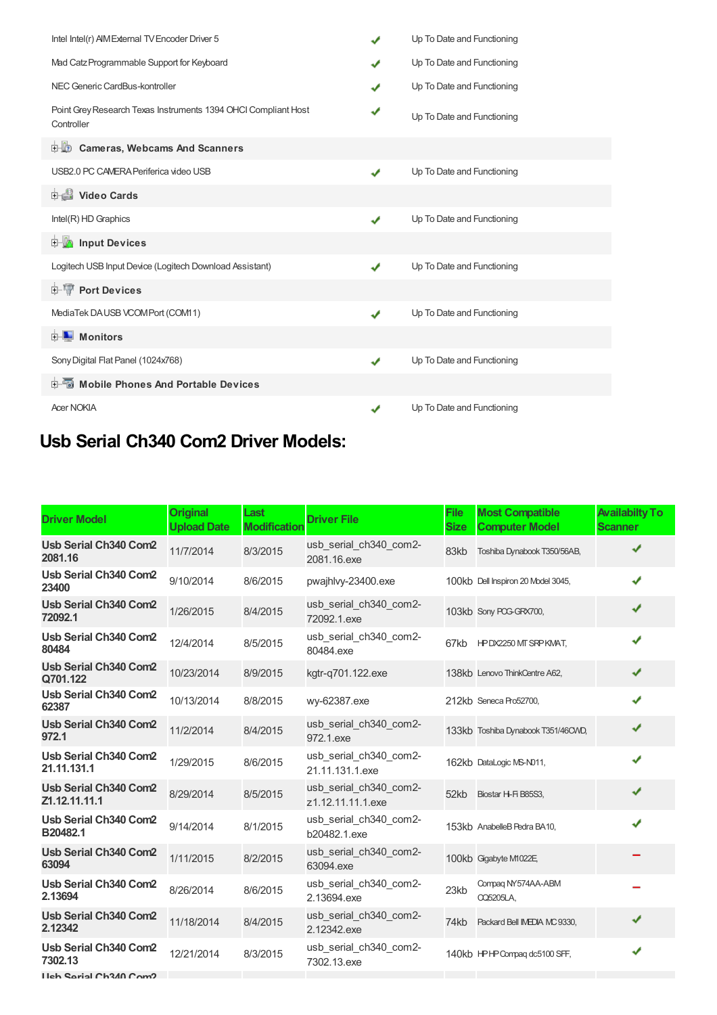| Intel Intel(r) AIM External TV Encoder Driver 5                              | $\checkmark$ | Up To Date and Functioning |
|------------------------------------------------------------------------------|--------------|----------------------------|
| Mad Catz Programmable Support for Keyboard                                   |              | Up To Date and Functioning |
| NEC Generic CardBus-kontroller                                               | ✔            | Up To Date and Functioning |
| Point Grey Research Texas Instruments 1394 OHCI Compliant Host<br>Controller |              | Up To Date and Functioning |
| <b>Cameras, Webcams And Scanners</b><br>中心                                   |              |                            |
| USB2.0 PC CAMERA Periferica video USB                                        | J            | Up To Date and Functioning |
| Video Cards                                                                  |              |                            |
| Intel(R) HD Graphics                                                         | ✔            | Up To Date and Functioning |
| <b>Devices</b> Input Devices                                                 |              |                            |
| Logitech USB Input Device (Logitech Download Assistant)                      | ✔            | Up To Date and Functioning |
| <b>E-TP</b> Port Devices                                                     |              |                            |
| MediaTek DAUSB VCOMPort (COM11)                                              | ✔            | Up To Date and Functioning |
| <b>E</b> Monitors                                                            |              |                            |
| Sony Digital Flat Panel (1024x768)                                           | ✔            | Up To Date and Functioning |
| <b>E</b> Mobile Phones And Portable Devices                                  |              |                            |
| <b>Acer NOKIA</b>                                                            | ✔            | Up To Date and Functioning |

## **Usb Serial Ch340 Com2 Driver Models:**

| <b>Driver Model</b>                     | <b>Original</b><br><b>Upload Date</b> | Last<br><b>Modification</b> | <b>Driver File</b>                          | <b>File</b><br><b>Size</b> | <b>Most Compatible</b><br><b>Computer Model</b> | <b>Availabilty To</b><br><b>Scanner</b> |
|-----------------------------------------|---------------------------------------|-----------------------------|---------------------------------------------|----------------------------|-------------------------------------------------|-----------------------------------------|
| <b>Usb Serial Ch340 Com2</b><br>2081.16 | 11/7/2014                             | 8/3/2015                    | usb serial ch340 com2-<br>2081.16.exe       | 83kb                       | Toshiba Dynabook T350/56AB,                     | ✔                                       |
| Usb Serial Ch340 Com2<br>23400          | 9/10/2014                             | 8/6/2015                    | pwaihlvy-23400.exe                          |                            | 100kb Dell Inspiron 20 Model 3045,              | J                                       |
| Usb Serial Ch340 Com2<br>72092.1        | 1/26/2015                             | 8/4/2015                    | usb_serial_ch340_com2-<br>72092.1.exe       |                            | 103kb Sony POG-GRX700,                          |                                         |
| Usb Serial Ch340 Com2<br>80484          | 12/4/2014                             | 8/5/2015                    | usb serial ch340 com2-<br>80484.exe         |                            | 67kb HPDX2250 MT SRPKMAT,                       | ✔                                       |
| Usb Serial Ch340 Com2<br>Q701.122       | 10/23/2014                            | 8/9/2015                    | kgtr-q701.122.exe                           |                            | 138kb Lenovo ThinkCentre A62,                   |                                         |
| Usb Serial Ch340 Com2<br>62387          | 10/13/2014                            | 8/8/2015                    | wy-62387.exe                                |                            | 212kb Seneca Pro52700,                          | ✔                                       |
| Usb Serial Ch340 Com2<br>972.1          | 11/2/2014                             | 8/4/2015                    | usb serial ch340 com2-<br>972.1.exe         |                            | 133kb Toshiba Dynabook T351/46CWD,              | ✔                                       |
| Usb Serial Ch340 Com2<br>21.11.131.1    | 1/29/2015                             | 8/6/2015                    | usb serial ch340 com2-<br>21.11.131.1.exe   |                            | 162kb DataLogic MS-N011,                        | J                                       |
| Usb Serial Ch340 Com2<br>Z1.12.11.11.1  | 8/29/2014                             | 8/5/2015                    | usb serial ch340 com2-<br>z1.12.11.11.1.exe | 52kb                       | Biostar H-Fi B85S3,                             | J                                       |
| Usb Serial Ch340 Com2<br>B20482.1       | 9/14/2014                             | 8/1/2015                    | usb_serial_ch340_com2-<br>b20482.1.exe      |                            | 153kb AnabelleB Pedra BA10,                     |                                         |
| Usb Serial Ch340 Com2<br>63094          | 1/11/2015                             | 8/2/2015                    | usb_serial_ch340_com2-<br>63094.exe         |                            | 100kb Gigabyte M1022E,                          |                                         |
| Usb Serial Ch340 Com2<br>2.13694        | 8/26/2014                             | 8/6/2015                    | usb serial ch340 com2-<br>2.13694.exe       | 23kb                       | Compag NY574AA-ABM<br><b>CQ5205LA,</b>          |                                         |
| <b>Usb Serial Ch340 Com2</b><br>2.12342 | 11/18/2014                            | 8/4/2015                    | usb serial ch340 com2-<br>2.12342.exe       | 74kb                       | Packard Bell IMEDIA MC 9330,                    | ✔                                       |
| Usb Serial Ch340 Com2<br>7302.13        | 12/21/2014                            | 8/3/2015                    | usb serial ch340 com2-<br>7302.13.exe       |                            | 140kb HPHP Compag dc5100 SFF,                   | ✔                                       |
| Lleh Sarial Ch340 Com <sub>2</sub>      |                                       |                             |                                             |                            |                                                 |                                         |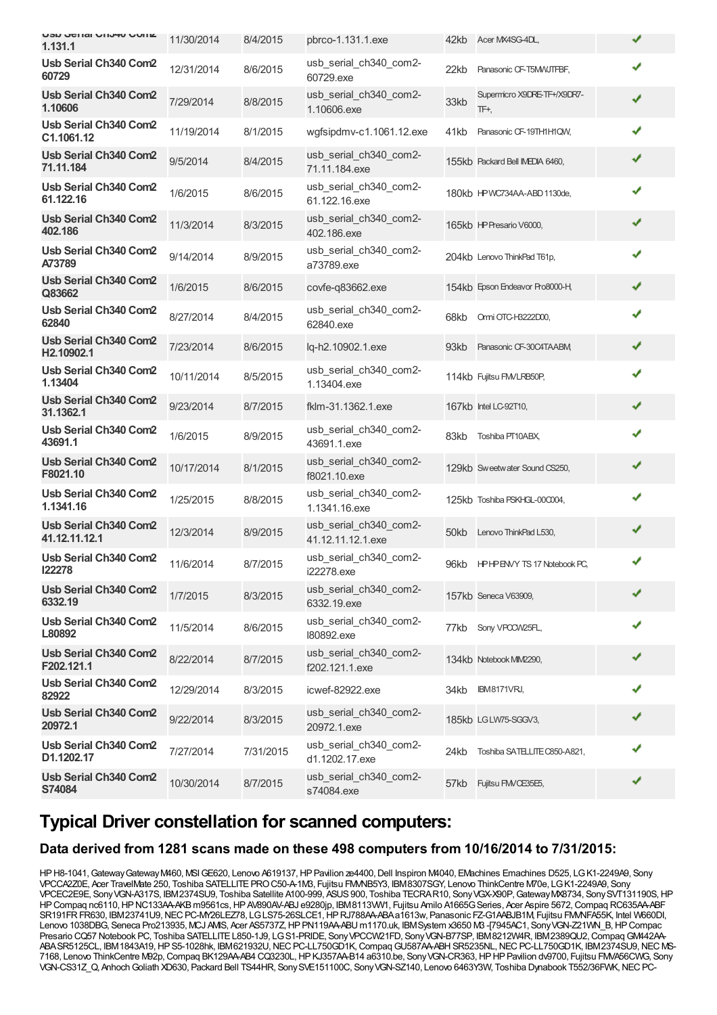| <b>USU JEHAI UNUMU UUIK</b><br>1.131.1 | 11/30/2014 | 8/4/2015  | pbrco-1.131.1.exe                           | 42kb | Acer MX4SG-4DL,                     | ✔ |
|----------------------------------------|------------|-----------|---------------------------------------------|------|-------------------------------------|---|
| Usb Serial Ch340 Com2<br>60729         | 12/31/2014 | 8/6/2015  | usb_serial_ch340_com2-<br>60729.exe         | 22kb | Panasonic CF-T5MWJTFBF,             | ✔ |
| Usb Serial Ch340 Com2<br>1.10606       | 7/29/2014  | 8/8/2015  | usb_serial_ch340_com2-<br>1.10606.exe       | 33kb | Supermicro X9DRE-TF+/X9DR7-<br>TF+, | ✔ |
| Usb Serial Ch340 Com2<br>C1.1061.12    | 11/19/2014 | 8/1/2015  | wgfsipdmv-c1.1061.12.exe                    | 41kb | Panasonic CF-19TH1H1QW,             | ✔ |
| Usb Serial Ch340 Com2<br>71.11.184     | 9/5/2014   | 8/4/2015  | usb_serial_ch340_com2-<br>71.11.184.exe     |      | 155kb Packard Bell IMEDIA 6460,     | ✔ |
| Usb Serial Ch340 Com2<br>61.122.16     | 1/6/2015   | 8/6/2015  | usb_serial_ch340_com2-<br>61.122.16.exe     |      | 180kb HPWC734AA-ABD 1130de,         | ✔ |
| Usb Serial Ch340 Com2<br>402.186       | 11/3/2014  | 8/3/2015  | usb_serial_ch340_com2-<br>402.186.exe       |      | 165kb HP Presario V6000,            | ✔ |
| Usb Serial Ch340 Com2<br>A73789        | 9/14/2014  | 8/9/2015  | usb_serial_ch340_com2-<br>a73789.exe        |      | 204kb Lenovo ThinkPad T61p,         | ✔ |
| Usb Serial Ch340 Com2<br>Q83662        | 1/6/2015   | 8/6/2015  | covfe-q83662.exe                            |      | 154kb Epson Endeavor Pro8000-H,     | ✔ |
| Usb Serial Ch340 Com2<br>62840         | 8/27/2014  | 8/4/2015  | usb serial ch340 com2-<br>62840.exe         | 68kb | Omi OTC-H3222D00,                   | ✔ |
| Usb Serial Ch340 Com2<br>H2.10902.1    | 7/23/2014  | 8/6/2015  | lg-h2.10902.1.exe                           | 93kb | Panasonic CF-30C4TAABM              | ✔ |
| Usb Serial Ch340 Com2<br>1.13404       | 10/11/2014 | 8/5/2015  | usb_serial_ch340_com2-<br>1.13404.exe       |      | 114kb Fujitsu FM/LRB50P,            | ✔ |
| Usb Serial Ch340 Com2<br>31.1362.1     | 9/23/2014  | 8/7/2015  | fklm-31.1362.1.exe                          |      | 167kb Intel LC-92T10,               | ✔ |
| Usb Serial Ch340 Com2<br>43691.1       | 1/6/2015   | 8/9/2015  | usb_serial_ch340_com2-<br>43691.1.exe       | 83kb | Toshiba PT10ABX,                    | ✔ |
| Usb Serial Ch340 Com2<br>F8021.10      | 10/17/2014 | 8/1/2015  | usb_serial_ch340_com2-<br>f8021.10.exe      |      | 129kb Sweetwater Sound CS250,       | ✔ |
| Usb Serial Ch340 Com2<br>1.1341.16     | 1/25/2015  | 8/8/2015  | usb_serial_ch340_com2-<br>1.1341.16.exe     |      | 125kb Toshiba PSKHGL-00C004,        | ✔ |
| Usb Serial Ch340 Com2<br>41.12.11.12.1 | 12/3/2014  | 8/9/2015  | usb_serial_ch340_com2-<br>41.12.11.12.1.exe |      | 50kb Lenovo ThinkPad L530,          | ✔ |
| Usb Serial Ch340 Com2<br>122278        | 11/6/2014  | 8/7/2015  | usb_serial_ch340_com2-<br>i22278.exe        | 96kb | <b>HPHPENVY TS 17 Notebook PC.</b>  | ✔ |
| Usb Serial Ch340 Com2<br>6332.19       | 1/7/2015   | 8/3/2015  | usb_serial_ch340_com2-<br>6332.19.exe       |      | 157kb Seneca V63909,                | ✔ |
| Usb Serial Ch340 Com2<br>L80892        | 11/5/2014  | 8/6/2015  | usb_serial_ch340_com2-<br>180892.exe        | 77kb | Sony VPOCW25FL,                     | ✔ |
| Usb Serial Ch340 Com2<br>F202.121.1    | 8/22/2014  | 8/7/2015  | usb_serial_ch340_com2-<br>f202.121.1.exe    |      | 134kb Notebook MM2290,              |   |
| Usb Serial Ch340 Com2<br>82922         | 12/29/2014 | 8/3/2015  | icwef-82922.exe                             | 34kb | <b>IBM8171VRJ,</b>                  |   |
| Usb Serial Ch340 Com2<br>20972.1       | 9/22/2014  | 8/3/2015  | usb_serial_ch340_com2-<br>20972.1.exe       |      | 185kb LGLW75-SGGV3,                 | ✔ |
| Usb Serial Ch340 Com2<br>D1.1202.17    | 7/27/2014  | 7/31/2015 | usb_serial_ch340_com2-<br>d1.1202.17.exe    | 24kb | Toshiba SATELLITE C850-A821,        | ✔ |
| Usb Serial Ch340 Com2<br>S74084        | 10/30/2014 | 8/7/2015  | usb_serial_ch340_com2-<br>s74084.exe        | 57kb | Fujitsu FMVCE35E5,                  | ✔ |

### **Typical Driver constellation for scanned computers:**

#### **Data derived from 1281 scans made on these 498 computers from 10/16/2014 to 7/31/2015:**

HPH8-1041, Gateway Gateway M460, MSI GE620, Lenovo A619137, HP Pavilion ze4400, Dell Inspiron M4040, EMachines Emachines D525, LG K1-2249A9, Sony VPCCA2Z0E, Acer TravelMate 250, Toshiba SATELLITEPROC50-A-1M3, Fujitsu FMVNB5Y3, IBM8307SGY, Lenovo ThinkCentre M70e, LGK1-2249A9, Sony VPCEC2E9E, SonyVGN-A317S, IBM2374SU9, Toshiba Satellite A100-999, ASUS900, Toshiba TECRAR10, SonyVGX-X90P,GatewayMX8734, SonySVT131190S,HP HPCompaq nc6110,HPNC133AA-AKBm9561cs,HPAV890AV-ABJ e9280jp, IBM8113VW1, Fujitsu Amilo A1665GSeries, Acer Aspire 5672,Compaq RC635AA-ABF SR191FR FR630, IBM23741U9, NEC PC-MY26LEZ78, LGLS75-26SLCE1, HP RJ788AA-ABAa1613w, Panasonic FZ-G1AABJB1M, Fujitsu FMMFA55K, Intel W660DI, Lenovo 1038DBG, Seneca Pro213935, MCJ AMIS, Acer AS5737Z, HP PN119AA-ABU m1170.uk, IBMSystem x3650 M3 -[7945AC1, Sony VGN-Z21WN\_B, HP Compac Presario CQ57 Notebook PC, Toshiba SATELLITE L850-1J9, LG S1-PRIDE, Sony VPCCW21FD, Sony VGN-B77SP, IBM8212W4R, IBM2389QU2, Compaq GM442AA-ABASR5125CL, IBM1843A19, HPS5-1028hk, IBM621932U, NEC PC-LL750GD1K, Compaq GU587AA-ABHSR5235NL, NEC PC-LL750GD1K, IBM2374SU9, NEC MS-7168, Lenovo ThinkCentre M92p,Compaq BK129AA-AB4 CQ3230L,HPKJ357AA-B14 a6310.be, SonyVGN-CR363,HPHPPavilion dv9700, Fujitsu FMVA56CWG, Sony VGN-CS31Z\_Q, Anhoch Goliath XD630, Packard Bell TS44HR, Sony SVE151100C, Sony VGN-SZ140, Lenovo 6463Y3W, Toshiba Dynabook T552/36FWK, NEC PC-